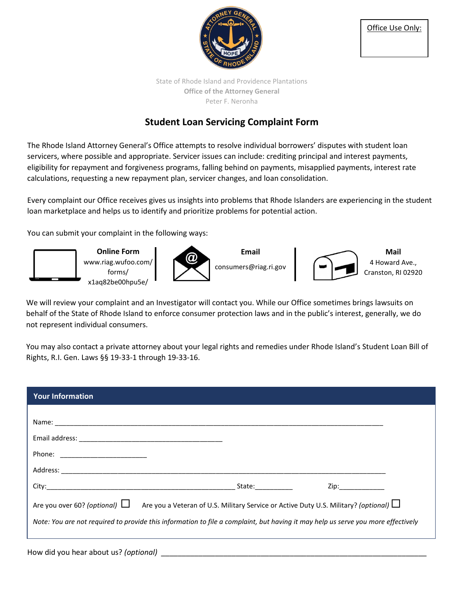

State of Rhode Island and Providence Plantations **Office of the Attorney General** Peter F. Neronha

## **Student Loan Servicing Complaint Form**

The Rhode Island Attorney General's Office attempts to resolve individual borrowers' disputes with student loan servicers, where possible and appropriate. Servicer issues can include: crediting principal and interest payments, eligibility for repayment and forgiveness programs, falling behind on payments, misapplied payments, interest rate calculations, requesting a new repayment plan, servicer changes, and loan consolidation.

Every complaint our Office receives gives us insights into problems that Rhode Islanders are experiencing in the student loan marketplace and helps us to identify and prioritize problems for potential action.

You can submit your complaint in the following ways:



We will review your complaint and an Investigator will contact you. While our Office sometimes brings lawsuits on behalf of the State of Rhode Island to enforce consumer protection laws and in the public's interest, generally, we do not represent individual consumers.

You may also contact a private attorney about your legal rights and remedies under Rhode Island's Student Loan Bill of Rights, R.I. Gen. Laws §§ 19-33-1 through 19-33-16.

| <b>Your Information</b>                                                                                                          |                                                                                                                                                                                                                                |
|----------------------------------------------------------------------------------------------------------------------------------|--------------------------------------------------------------------------------------------------------------------------------------------------------------------------------------------------------------------------------|
|                                                                                                                                  |                                                                                                                                                                                                                                |
|                                                                                                                                  |                                                                                                                                                                                                                                |
|                                                                                                                                  |                                                                                                                                                                                                                                |
|                                                                                                                                  |                                                                                                                                                                                                                                |
|                                                                                                                                  |                                                                                                                                                                                                                                |
|                                                                                                                                  | Zip: the contract of the contract of the contract of the contract of the contract of the contract of the contract of the contract of the contract of the contract of the contract of the contract of the contract of the contr |
| Are you over 60? (optional) $\Box$ Are you a Veteran of U.S. Military Service or Active Duty U.S. Military? (optional) $\Box$    |                                                                                                                                                                                                                                |
| Note: You are not required to provide this information to file a complaint, but having it may help us serve you more effectively |                                                                                                                                                                                                                                |
|                                                                                                                                  |                                                                                                                                                                                                                                |

How did you hear about us? *(optional)*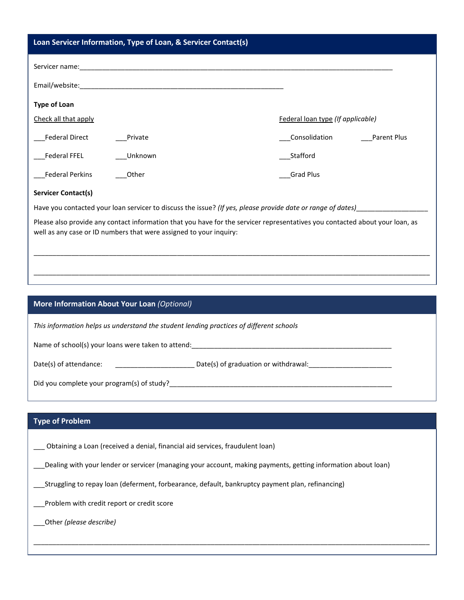| Loan Servicer Information, Type of Loan, & Servicer Contact(s)                                                                                                                                     |                                     |  |  |  |
|----------------------------------------------------------------------------------------------------------------------------------------------------------------------------------------------------|-------------------------------------|--|--|--|
|                                                                                                                                                                                                    |                                     |  |  |  |
|                                                                                                                                                                                                    |                                     |  |  |  |
| <b>Type of Loan</b>                                                                                                                                                                                |                                     |  |  |  |
| Check all that apply                                                                                                                                                                               | Federal loan type (If applicable)   |  |  |  |
| <b>Federal Direct</b><br>Private                                                                                                                                                                   | Consolidation<br><b>Parent Plus</b> |  |  |  |
| <b>Federal FFEL</b><br>Unknown                                                                                                                                                                     | Stafford                            |  |  |  |
| <b>Federal Perkins</b><br>Other                                                                                                                                                                    | <b>Grad Plus</b>                    |  |  |  |
| <b>Servicer Contact(s)</b>                                                                                                                                                                         |                                     |  |  |  |
| Have you contacted your loan servicer to discuss the issue? (If yes, please provide date or range of dates)                                                                                        |                                     |  |  |  |
| Please also provide any contact information that you have for the servicer representatives you contacted about your loan, as<br>well as any case or ID numbers that were assigned to your inquiry: |                                     |  |  |  |
|                                                                                                                                                                                                    |                                     |  |  |  |
|                                                                                                                                                                                                    |                                     |  |  |  |

## **More Information About Your Loan** *(Optional)*

*This information helps us understand the student lending practices of different schools*

Name of school(s) your loans were taken to attend: \_\_\_\_\_\_\_\_\_\_\_\_\_\_\_\_\_\_\_\_\_\_\_\_\_\_\_\_\_

Date(s) of attendance: \_\_\_\_\_\_\_\_\_\_\_\_\_\_\_\_\_\_\_\_\_ Date(s) of graduation or withdrawal:\_\_\_\_\_\_\_\_\_\_\_\_\_\_\_\_\_\_\_\_\_\_

Did you complete your program(s) of study?\_\_\_\_\_\_\_\_\_\_\_\_\_\_\_\_\_\_\_\_\_\_\_\_\_\_\_\_\_\_\_\_\_\_\_\_\_\_\_\_\_\_\_\_\_\_\_\_\_\_\_\_\_\_\_\_\_\_\_

## **Type of Problem**

\_\_\_ Obtaining a Loan (received a denial, financial aid services, fraudulent loan)

\_\_\_Dealing with your lender or servicer (managing your account, making payments, getting information about loan)

\_\_\_\_\_\_\_\_\_\_\_\_\_\_\_\_\_\_\_\_\_\_\_\_\_\_\_\_\_\_\_\_\_\_\_\_\_\_\_\_\_\_\_\_\_\_\_\_\_\_\_\_\_\_\_\_\_\_\_\_\_\_\_\_\_\_\_\_\_\_\_\_\_\_\_\_\_\_\_\_\_\_\_\_\_\_\_\_\_\_\_\_\_\_\_\_\_\_\_\_\_\_\_\_\_

\_\_\_Struggling to repay loan (deferment, forbearance, default, bankruptcy payment plan, refinancing)

\_\_\_Problem with credit report or credit score

\_\_\_Other *(please describe)*